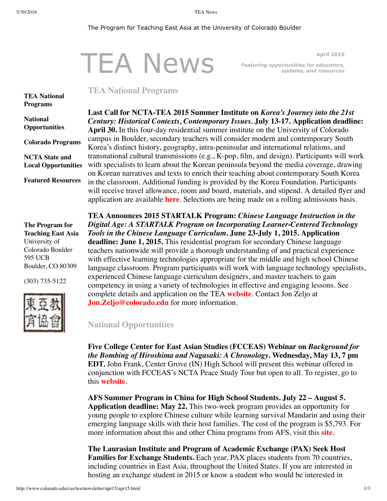#### 5/30/2016 TEA News

#### The Program for Teaching East Asia at the University of Colorado Boulder

# TEA News

<span id="page-0-0"></span>**April 2015** *Featuring opportunities for educators, updates, and resources*

# **TEA National Programs**

### **TEA National [Programs](#page-0-0)**

**National [Opportunities](#page-0-1)**

**Colorado [Programs](#page-1-0) NCTA State and**

**Local [Opportunities](#page-1-1) Featured [Resources](#page-1-2)**

**The Program for Teaching East Asia** University of Colorado Boulder 595 UCB Boulder, CO 80309

(303) 735-5122



**Last Call for NCTA-TEA 2015 Summer Institute on** *Korea's Journey into the 21st Century: Historical Contexts, Contemporary Issues.* **July 13-17. Application deadline: April 30.** In this four-day residential summer institute on the University of Colorado campus in Boulder, secondary teachers will consider modern and contemporary South Korea's distinct history, geography, intra-peninsular and international relations, and transnational cultural transmissions (e.g., K-pop, film, and design). Participants will work with specialists to learn about the Korean peninsula beyond the media coverage, drawing on Korean narratives and texts to enrich their teaching about contemporary South Korea in the classroom. Additional funding is provided by the Korea Foundation. Participants will receive travel allowance, room and board, materials, and stipend. A detailed flyer and application are available **[here](http://www.colorado.edu/cas/tea/ncta/downloads/KoreaSI2015APPExtendedApr3015.pdf)**. Selections are being made on a rolling admissions basis.

**TEA Announces 2015 STARTALK Program:** *Chinese Language Instruction in the Digital Age: A STARTALK Program on Incorporating Learner-Centered Technology Tools in the Chinese Language Curriculum***. June 23-July 1, 2015. Application deadline: June 1, 2015.** This residential program for secondary Chinese language teachers nationwide will provide a thorough understanding of and practical experience with effective learning technologies appropriate for the middle and high school Chinese language classroom. Program participants will work with language technology specialists, experienced Chinese language curriculum designers, and master teachers to gain competency in using a variety of technologies in effective and engaging lessons. See complete details and application on the TEA **[website](http://www.colorado.edu/cas/tea/programs/startalk-program.html)**. Contact Jon Zeljo at **[Jon.Zeljo@colorado.edu](mailto:Jon.Zeljo@colorado.edu)** for more information.

<span id="page-0-1"></span>**National Opportunities**

**Five College Center for East Asian Studies (FCCEAS) Webinar on** *Background for the Bombing of Hiroshima and Nagasaki: A Chronology***. Wednesday, May 13, 7 pm EDT.** John Frank, Center Grove (IN) High School will present this webinar offered in conjunction with FCCEAS's NCTA Peace Study Tour but open to all. To register, go to this **[website](https://attendee.gotowebinar.com/register/2849607949455352578)**.

**AFS Summer Program in China for High School Students. July 22 – August 5. Application deadline: May 22.** This two-week program provides an opportunity for young people to explore Chinese culture while learning survival Mandarin and using their emerging language skills with their host families. The cost of the program is \$5,793. For more information about this and other China programs from AFS, visit this **[site](http://www.afsusa.org/study-abroad/summer-abroad/display-program/?destination=18&category=152#program)**.

**The Laurasian Institute and Program of Academic Exchange (PAX) Seek Host Families for Exchange Students.** Each year, PAX places students from 70 countries, including countries in East Asia, throughout the United States. If you are interested in hosting an exchange student in 2015 or know a student who would be interested in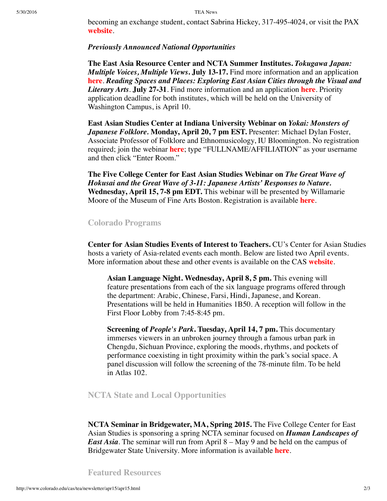becoming an exchange student, contact Sabrina Hickey, 317-495-4024, or visit the PAX **[website](http://www.pax.org/)**.

### *Previously Announced National Opportunities*

**The East Asia Resource Center and NCTA Summer Institutes.** *Tokugawa Japan: Multiple Voices, Multiple Views***. July 13-17.** Find more information and an application **[here](https://catalyst.uw.edu/webq/survey/earc/260745?solstice_selected_button=btn_ba939ef6078c17e5f32acb38ffb56b8c_1&sol_button_data_btn_ba939ef6078c17e5f32acb38ffb56b8c_1=a5931c29413e88f148260d559a608b2fa4c22647950352a6dc5dfbb7cea89b087621ca9276358a8aabe4095ad84975d68cce0e724386c33b795a5748a94442f4169cee43d6cdc135b4713dd1230881df28ce8d1e92c0667624f9524258047c6d617c69204f454475aa79b0b4b3ee2c53337deadeaa93059495f8131385fff77fe14d4cb67856f81df0932dd61848dda6)**. *Reading Spaces and Places: Exploring East Asian Cities through the Visual and Literary Arts*. **July 27-31**. Find more information and an application **[here](https://catalyst.uw.edu/webq/survey/earc/260964?solstice_selected_button=btn_b32655f60a80e76f86d1a183c0c989d8_1&sol_button_data_btn_b32655f60a80e76f86d1a183c0c989d8_1=a6e0cdd3aad112f985c5ac6b9923ab92c15214fdf9af3ff4e8b118817f7a9d625555ea520ea619bb5f1bad8e55bd4eb488e5a94ba6c51be1533988fea4cab3338810b361e25ea6d87977f2ccc9b58f6294127c1d9028d65194145ac1c5dc6587f8f88cf0a05060888dd51579c8a868301e9c9c353dd7d4d99b76698d75fdbc44b0f79393b4c196b3ba4a23214bf8c23e)**. Priority application deadline for both institutes, which will be held on the University of Washington Campus, is April 10.

**East Asian Studies Center at Indiana University Webinar on** *Yokai: Monsters of Japanese Folklore.* **Monday, April 20, 7 pm EST.** Presenter: Michael Dylan Foster, Associate Professor of Folklore and Ethnomusicology, IU Bloomington. No registration required; join the webinar **[here](https://connect.iu.edu/april20/)**; type "FULLNAME/AFFILIATION" as your username and then click "Enter Room."

**The Five College Center for East Asian Studies Webinar on** *The Great Wave of Hokusai and the Great Wave of 3-11: Japanese Artists' Responses to Nature.* **Wednesday, April 15, 7-8 pm EDT.** This webinar will be presented by Willamarie Moore of the Museum of Fine Arts Boston. Registration is available **[here](https://attendee.gotowebinar.com/register/4135220713692853762)**.

# <span id="page-1-0"></span>**Colorado Programs**

**Center for Asian Studies Events of Interest to Teachers.** CU's Center for Asian Studies hosts a variety of Asia-related events each month. Below are listed two April events. More information about these and other events is available on the CAS **[website](https://cas.colorado.edu/events-list)**.

**Asian Language Night. Wednesday, April 8, 5 pm.** This evening will feature presentations from each of the six language programs offered through the department: Arabic, Chinese, Farsi, Hindi, Japanese, and Korean. Presentations will be held in Humanities 1B50. A reception will follow in the First Floor Lobby from 7:45-8:45 pm.

**Screening of** *People's Park***. Tuesday, April 14, 7 pm.** This documentary immerses viewers in an unbroken journey through a famous urban park in Chengdu, Sichuan Province, exploring the moods, rhythms, and pockets of performance coexisting in tight proximity within the park's social space. A panel discussion will follow the screening of the 78-minute film. To be held in Atlas 102.

# <span id="page-1-1"></span>**NCTA State and Local Opportunities**

**NCTA Seminar in Bridgewater, MA, Spring 2015.** The Five College Center for East Asian Studies is sponsoring a spring NCTA seminar focused on *Human Landscapes of East Asia*. The seminar will run from April 8 – May 9 and be held on the campus of Bridgewater State University. More information is available **[here](https://www.fivecolleges.edu/system/files/Bridgewater%20State%20University%20Spring%202015%20flyer%20and%20application%20form.pdf)**.

<span id="page-1-2"></span>**Featured Resources**